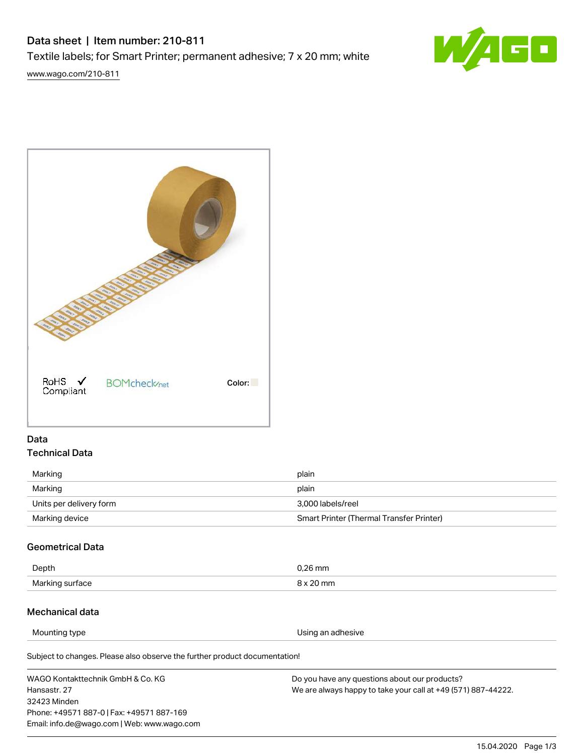# Data sheet | Item number: 210-811 Textile labels; for Smart Printer; permanent adhesive; 7 x 20 mm; white



[www.wago.com/210-811](http://www.wago.com/210-811)



# Data Technical Data

| Marking                 | plain                                    |
|-------------------------|------------------------------------------|
| Marking                 | plain                                    |
| Units per delivery form | 3,000 labels/reel                        |
| Marking device          | Smart Printer (Thermal Transfer Printer) |

## Geometrical Data

| Depth           | $0.26$ mm |
|-----------------|-----------|
| Marking surface | 8 x 20 mm |

## Mechanical data

Mounting type **Mounting** type **EXECUTE:** Mounting type **Using an adhesive** 

Subject to changes. Please also observe the further product documentation!

WAGO Kontakttechnik GmbH & Co. KG Hansastr. 27 32423 Minden Phone: +49571 887-0 | Fax: +49571 887-169 Email: info.de@wago.com | Web: www.wago.com Do you have any questions about our products? We are always happy to take your call at +49 (571) 887-44222.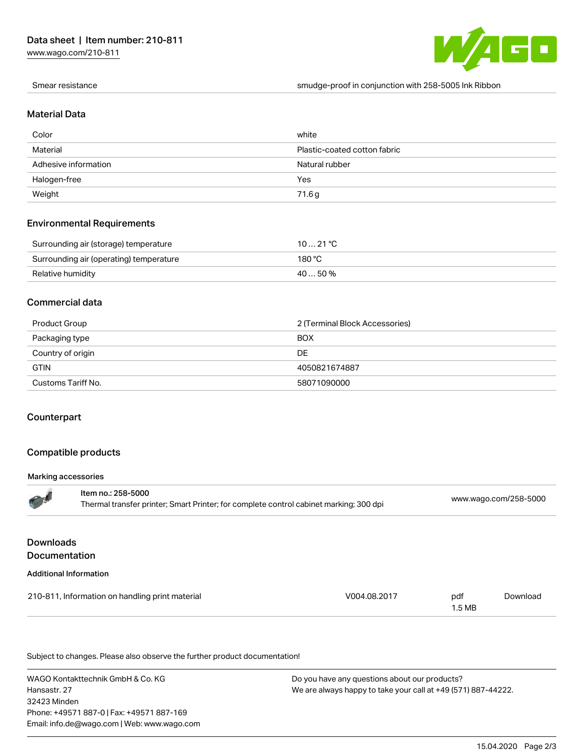[www.wago.com/210-811](http://www.wago.com/210-811)



Smear resistance smudge-proof in conjunction with 258-5005 Ink Ribbon

#### Material Data

| Color                | white                        |
|----------------------|------------------------------|
| Material             | Plastic-coated cotton fabric |
| Adhesive information | Natural rubber               |
| Halogen-free         | Yes                          |
| Weight               | 71.6g                        |

#### Environmental Requirements

| Surrounding air (storage) temperature   | 1021 °C  |
|-----------------------------------------|----------|
| Surrounding air (operating) temperature | 180 °C   |
| Relative humidity                       | 40  50 % |

#### Commercial data

| Product Group      | 2 (Terminal Block Accessories) |
|--------------------|--------------------------------|
| Packaging type     | <b>BOX</b>                     |
| Country of origin  | DE                             |
| <b>GTIN</b>        | 4050821674887                  |
| Customs Tariff No. | 58071090000                    |

#### Counterpart

#### Compatible products

#### Marking accessories

|                                   | Item no.: 258-5000<br>Thermal transfer printer; Smart Printer; for complete control cabinet marking; 300 dpi |              |                          | www.wago.com/258-5000 |  |
|-----------------------------------|--------------------------------------------------------------------------------------------------------------|--------------|--------------------------|-----------------------|--|
| <b>Downloads</b><br>Documentation |                                                                                                              |              |                          |                       |  |
| <b>Additional Information</b>     |                                                                                                              |              |                          |                       |  |
|                                   | 210-811, Information on handling print material                                                              | V004.08.2017 | pdf<br>1.5 <sub>MB</sub> | Download              |  |

Subject to changes. Please also observe the further product documentation!

WAGO Kontakttechnik GmbH & Co. KG Hansastr. 27 32423 Minden Phone: +49571 887-0 | Fax: +49571 887-169 Email: info.de@wago.com | Web: www.wago.com

Do you have any questions about our products? We are always happy to take your call at +49 (571) 887-44222.